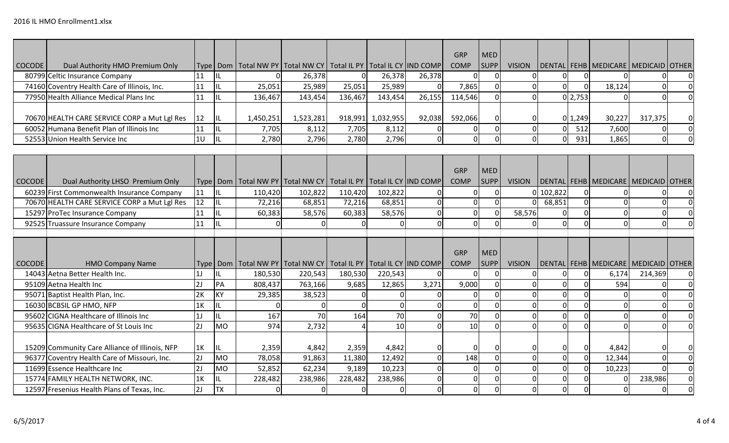|               |                                                                   |                 |           |           |                                                                                        |          |                   |                | <b>GRP</b><br><b>COMP</b> | MED         |                           |                |          |          |                                             |                  |
|---------------|-------------------------------------------------------------------|-----------------|-----------|-----------|----------------------------------------------------------------------------------------|----------|-------------------|----------------|---------------------------|-------------|---------------------------|----------------|----------|----------|---------------------------------------------|------------------|
| <b>COCODE</b> | Dual Authority HMO Premium Only<br>80799 Celtic Insurance Company | 11              | ЧL.       | 01        | Type   Dom   Total NW PY   Total NW CY   Total IL PY   Total IL CY  IND COMP<br>26,378 | $\Omega$ | 26,378            | 26,378         | $\Omega$                  | <b>SUPP</b> | <b>VISION</b><br>$\Omega$ | $\overline{0}$ | $\Omega$ |          | DENTAL FEHB MEDICARE MEDICAID OTHER         | 0                |
|               | 74160 Coventry Health Care of Illinois, Inc.                      | 11              | IL        | 25,051    | 25,989                                                                                 | 25,051   | 25,989            | $\Omega$       | 7,865                     | $\Omega$    | $\Omega$                  | $\Omega$       | $\Omega$ | 18,124   |                                             | $\mathbf 0$      |
|               | 77950 Health Alliance Medical Plans Inc                           | 11              | IL        | 136,467   | 143,454                                                                                |          | 143,454           | 26,155         | 114,546                   | $\Omega$    | $\Omega$                  |                | 0 2,753  | $\Omega$ |                                             | $\mathbf 0$      |
|               |                                                                   |                 |           |           |                                                                                        | 136,467  |                   |                |                           |             |                           |                |          |          |                                             |                  |
|               | 70670 HEALTH CARE SERVICE CORP a Mut Lgl Res                      | 12              | IL        | 1,450,251 | 1,523,281                                                                              |          | 918,991 1,032,955 | 92,038         | 592,066                   |             |                           |                | 0 1,249  | 30,227   | 317,375                                     | $\mathbf 0$      |
|               | 60052 Humana Benefit Plan of Illinois Inc                         | 11              | IL        | 7,705     | 8,112                                                                                  | 7,705    | 8,112             | $\Omega$       | $\Omega$                  | $\Omega$    | $\overline{0}$            | $\Omega$       | 512      | 7,600    | 0                                           | $\mathbf 0$      |
|               | 52553 Union Health Service Inc                                    | 10              | IL        | 2,780     | 2,796                                                                                  | 2,780    | 2,796             | $\mathbf 0$    | $\mathbf 0$               | $\Omega$    | $\Omega$                  | $\Omega$       | 931      | 1,865    |                                             | $\mathbf 0$      |
|               |                                                                   |                 |           |           |                                                                                        |          |                   |                |                           |             |                           |                |          |          |                                             |                  |
|               |                                                                   |                 |           |           |                                                                                        |          |                   |                |                           |             |                           |                |          |          |                                             |                  |
|               |                                                                   |                 |           |           |                                                                                        |          |                   |                | <b>GRP</b>                | MED         |                           |                |          |          |                                             |                  |
| <b>COCODE</b> | Dual Authority LHSO Premium Only                                  |                 |           |           | Type   Dom   Total NW PY   Total NW CY   Total IL PY   Total IL CY  IND COMP           |          |                   |                | <b>COMP</b>               | <b>SUPP</b> | <b>VISION</b>             |                |          |          | DENTAL   FEHB   MEDICARE   MEDICAID   OTHER |                  |
|               | 60239 First Commonwealth Insurance Company                        | 11              | IL        | 110,420   | 102,822                                                                                | 110,420  | 102,822           | $\Omega$       | $\Omega$                  |             |                           | 0 102,822      |          |          |                                             | $\mathbf 0$      |
|               | 70670 HEALTH CARE SERVICE CORP a Mut Lgl Res                      | $\overline{12}$ | IL        | 72,216    | 68,851                                                                                 | 72,216   | 68,851            | $\Omega$       | $\Omega$                  | $\Omega$    |                           | 68,851         | $\Omega$ | ∩        | $\Omega$                                    | $\mathbf 0$      |
|               | 15297 ProTec Insurance Company                                    | 11              | IL        | 60,383    | 58,576                                                                                 | 60,383   | 58,576            | $\Omega$       | $\mathbf 0$               |             | 58,576                    | $\Omega$       | $\Omega$ | ∩        |                                             | $\mathbf 0$      |
|               | 92525 Truassure Insurance Company                                 | 11              | IL        | ΩI        | ΩI                                                                                     | $\Omega$ | $\Omega$          | $\Omega$       | $\Omega$                  | $\Omega$    | $\Omega$                  | $\Omega$       | U        |          |                                             | $\mathbf 0$      |
|               |                                                                   |                 |           |           |                                                                                        |          |                   |                |                           |             |                           |                |          |          |                                             |                  |
|               |                                                                   |                 |           |           |                                                                                        |          |                   |                | GRP                       | <b>MED</b>  |                           |                |          |          |                                             |                  |
| <b>COCODE</b> | <b>HMO Company Name</b>                                           |                 |           |           | Type   Dom   Total NW PY   Total NW CY   Total IL PY   Total IL CY  IND COMP           |          |                   |                | <b>COMP</b>               | <b>SUPP</b> | <b>VISION</b>             |                |          |          | DENTAL   FEHB   MEDICARE   MEDICAID   OTHER |                  |
|               | 14043 Aetna Better Health Inc.                                    | l1J             | IL        | 180,530   | 220,543                                                                                | 180,530  | 220,543           | $\Omega$       | $\Omega$                  | $\Omega$    | O                         | $\Omega$       | $\Omega$ | 6,174    | 214,369                                     | $\mathbf 0$      |
|               | 95109 Aetna Health Inc                                            | 2J              | PA        | 808,437   | 763,166                                                                                | 9,685    | 12,865            | 3,271          | 9,000                     | U           | $\mathbf 0$               | $\Omega$       | $\Omega$ | 594      | U                                           | $\mathbf 0$      |
|               | 95071 Baptist Health Plan, Inc.                                   | 2K              | KY        | 29,385    | 38,523                                                                                 |          | $\Omega$          | $\Omega$       | $\Omega$                  | $\Omega$    | $\overline{0}$            | $\Omega$       | ∩        |          |                                             | $\boldsymbol{0}$ |
|               | 16030 BCBSIL GP HMO, NFP                                          | 1K              | IL        | ΩI        | ΩI                                                                                     |          | $\mathbf 0$       | $\mathbf 0$    | $\mathbf 0$               | $\Omega$    | $\overline{0}$            | $\Omega$       | $\Omega$ |          |                                             | $\mathbf 0$      |
|               | 95602 CIGNA Healthcare of Illinois Inc                            | 1J              | IL        | 167       | 70                                                                                     | 164      | 70                | $\overline{0}$ | 70                        |             | $\mathbf{0}$              | $\Omega$       | $\Omega$ |          |                                             | $\mathbf 0$      |
|               | 95635 CIGNA Healthcare of St Louis Inc                            | 2J              | <b>MO</b> | 974       | 2,732                                                                                  |          | 10                | $\Omega$       | 10                        | U           | $\Omega$                  | $\Omega$       | $\Omega$ |          |                                             | $\overline{0}$   |
|               |                                                                   |                 |           |           |                                                                                        |          |                   |                |                           |             |                           |                |          |          |                                             |                  |
|               | 15209 Community Care Alliance of Illinois, NFP                    | 1K              | IL        | 2,359     | 4,842                                                                                  | 2,359    | 4,842             | $\mathbf 0$    | $\Omega$                  |             | $\Omega$                  | $\Omega$       | $\Omega$ | 4,842    |                                             | $\mathbf 0$      |
|               | 96377 Coventry Health Care of Missouri, Inc.                      | 2J              | <b>MO</b> | 78,058    | 91,863                                                                                 | 11,380   | 12,492            | $\overline{0}$ | 148                       | $\Omega$    | $\overline{0}$            | $\overline{0}$ | $\Omega$ | 12,344   | $\Omega$                                    | $\mathbf 0$      |
|               | 11699 Essence Healthcare Inc                                      | 2J              | <b>MO</b> | 52,852    | 62,234                                                                                 | 9,189    | 10,223            | $\mathbf 0$    | $\Omega$                  |             | $\mathbf{0}$              | $\Omega$       | $\Omega$ | 10,223   |                                             | $\mathbf 0$      |
|               | 15774 FAMILY HEALTH NETWORK, INC.                                 | 1 <sub>K</sub>  | IL        | 228,482   | 238,986                                                                                | 228,482  | 238,986           | $\Omega$       | $\overline{0}$            | $\Omega$    | $\Omega$                  | $\Omega$       | $\Omega$ |          | 238,986                                     | $\mathbf 0$      |
|               | 12597 Fresenius Health Plans of Texas, Inc.                       | 2J              | <b>TX</b> | ΩI        | $\Omega$                                                                               | $\Omega$ | $\overline{0}$    | $\Omega$       | $\Omega$                  | $\Omega$    | $\Omega$                  | $\Omega$       |          | $\Omega$ | $\Omega$                                    | $\mathbf 0$      |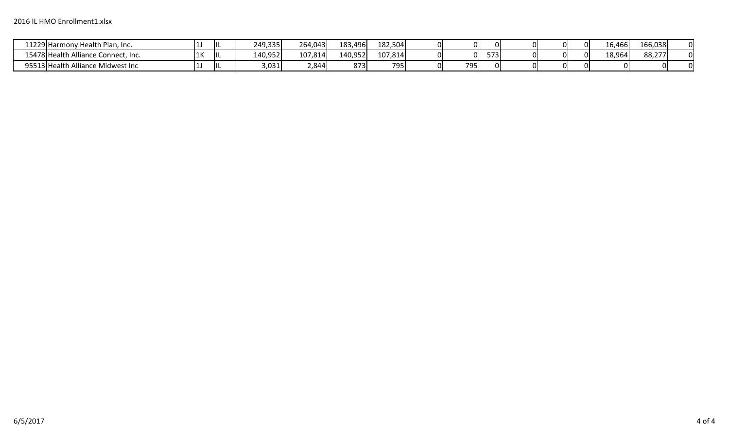| 11229 Harmony H<br>h Plan, Inc.<br>Health    |     | IIL. | 249,335 | 264,043 | 183,<br>,496 | 182,504 | ΩI   |              |  | ΩI | 16,466 | 166,038 |  |
|----------------------------------------------|-----|------|---------|---------|--------------|---------|------|--------------|--|----|--------|---------|--|
| 15478 Health<br>: Connect, Inc.<br>iance (   | 1K  | IIL. | 140,952 | 107,814 | 140,952      | 107,814 | ΩI   | $- -$<br>573 |  | ΩI | 18,964 | 88,277  |  |
| liance Midwest Inc<br>$95513$ Health.<br>AII | . . | IL   | 3,031   | 2,844   | 873          | 795     | 7951 |              |  |    |        | 01      |  |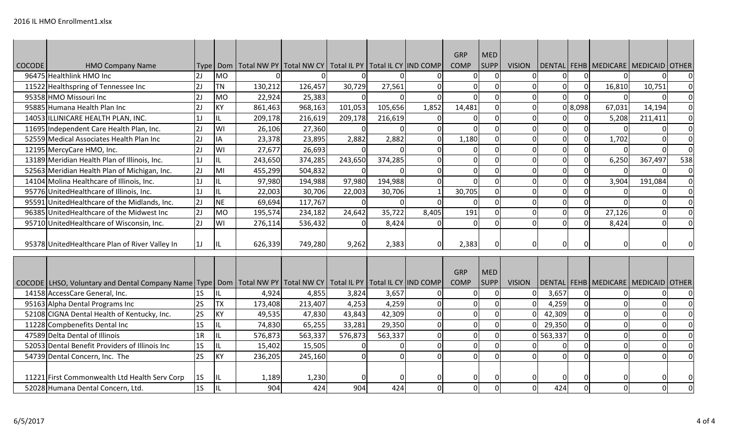|        |                                                                                                                                                                 |                |           |         |                                                                               |                |             |                | <b>GRP</b>                | <b>MED</b>                |                           |           |          |                                             |         |             |
|--------|-----------------------------------------------------------------------------------------------------------------------------------------------------------------|----------------|-----------|---------|-------------------------------------------------------------------------------|----------------|-------------|----------------|---------------------------|---------------------------|---------------------------|-----------|----------|---------------------------------------------|---------|-------------|
| COCODE | <b>HMO Company Name</b>                                                                                                                                         |                |           |         | Type   Dom   Total NW PY   Total NW CY   Total IL PY   Total IL CY   IND COMP |                |             |                | <b>COMP</b>               | <b>SUPP</b>               | <b>VISION</b>             |           |          | DENTAL   FEHB   MEDICARE   MEDICAID   OTHER |         |             |
|        | 96475 Healthlink HMO Inc                                                                                                                                        | 2J             | MO        |         |                                                                               | ΩI             |             |                | $\Omega$                  |                           | $\Omega$                  | $\Omega$  |          |                                             |         | $\Omega$    |
|        | 11522 Healthspring of Tennessee Inc                                                                                                                             | 2J             | <b>TN</b> | 130,212 | 126,457                                                                       | 30,729         | 27,561      | $\Omega$       | $\mathbf 0$               | $\Omega$                  | $\overline{0}$            | $\Omega$  | $\Omega$ | 16,810                                      | 10,751  | $\Omega$    |
|        | 95358 HMO Missouri Inc                                                                                                                                          | 2J             | <b>MO</b> | 22,924  | 25,383                                                                        | 0I             | $\Omega$    | $\Omega$       |                           |                           | $\mathbf{0}$              | $\Omega$  | $\Omega$ | ∩                                           |         | $\mathbf 0$ |
|        | 95885 Humana Health Plan Inc                                                                                                                                    | 2J             | KY        | 861,463 | 968,163                                                                       | 101,053        | 105,656     | 1,852          | 14,481                    | ΩI                        | $\overline{0}$            |           | 0 8,098  | 67,031                                      | 14,194  | $\mathbf 0$ |
|        | 14053 ILLINICARE HEALTH PLAN, INC.                                                                                                                              | 1 <sub>J</sub> | IL        | 209,178 | 216,619                                                                       | 209,178        | 216,619     |                | $\Omega$                  | ΩI                        | $\Omega$                  | $\Omega$  | $\Omega$ | 5,208                                       | 211,411 | $\Omega$    |
|        | 11695 Independent Care Health Plan, Inc.                                                                                                                        | 2J             | WI        | 26,106  | 27,360                                                                        | $\overline{0}$ | O           | $\mathbf 0$    | $\Omega$                  | $\Omega$                  | $\mathbf 0$               | $\Omega$  | $\Omega$ |                                             |         | $\mathbf 0$ |
|        | 52559 Medical Associates Health Plan Inc                                                                                                                        | 2J             | IA        | 23,378  | 23,895                                                                        | 2,882          | 2,882       | $\Omega$       | 1,180                     | ΩI                        | $\mathbf{0}$              | $\Omega$  | $\Omega$ | 1,702                                       |         | $\Omega$    |
|        | 12195 MercyCare HMO, Inc.                                                                                                                                       | 2J             | WI        | 27,677  | 26,693                                                                        | $\Omega$       | $\Omega$    | $\mathbf 0$    | $\Omega$                  | Οl                        | $\overline{0}$            | $\Omega$  | $\Omega$ | $\Omega$                                    |         | $\Omega$    |
|        | 13189 Meridian Health Plan of Illinois, Inc.                                                                                                                    | 1 <sub>J</sub> | IL        | 243,650 | 374,285                                                                       | 243,650        | 374,285     | $\Omega$       | $\Omega$                  | ΩI                        | $\Omega$                  | $\Omega$  | $\Omega$ | 6,250                                       | 367,497 | 538         |
|        | 52563 Meridian Health Plan of Michigan, Inc.                                                                                                                    | 2J             | MI        | 455,299 | 504,832                                                                       | $\Omega$       | $\Omega$    | $\mathbf 0$    | $\Omega$                  | O                         | $\overline{0}$            | $\Omega$  | $\Omega$ |                                             |         | $\mathbf 0$ |
|        | 14104 Molina Healthcare of Illinois, Inc.                                                                                                                       | 1J             | IL        | 97,980  | 194,988                                                                       | 97,980         | 194,988     | $\Omega$       | $\Omega$                  | $\Omega$                  | $\overline{0}$            | $\Omega$  | $\Omega$ | 3,904                                       | 191,084 | $\Omega$    |
|        | 95776 United Healthcare of Illinois, Inc.                                                                                                                       | 1J             | IL        | 22,003  | 30,706                                                                        | 22,003         | 30,706      |                | 30,705                    |                           | $\mathbf{0}$              | $\Omega$  |          |                                             |         | $\Omega$    |
|        | 95591 United Healthcare of the Midlands, Inc.                                                                                                                   | 2J             | <b>NE</b> | 69,694  | 117,767                                                                       | $\Omega$       | $\Omega$    | $\Omega$       |                           | $\Omega$                  | $\overline{0}$            | $\Omega$  | $\Omega$ |                                             |         | $\Omega$    |
|        | 96385 United Healthcare of the Midwest Inc                                                                                                                      | 2J             | <b>MO</b> | 195,574 | 234,182                                                                       | 24,642         | 35,722      | 8,405          | 191                       | ΩI                        | $\Omega$                  | $\Omega$  | $\Omega$ | 27,126                                      |         | $\Omega$    |
|        | 95710 UnitedHealthcare of Wisconsin, Inc.                                                                                                                       | 2J             | WI        | 276,114 | 536,432                                                                       | $\Omega$       | 8,424       | $\Omega$       | $\Omega$                  | ΩI                        | $\Omega$                  | $\Omega$  |          | 8,424                                       |         | $\Omega$    |
|        | 95378 United Healthcare Plan of River Valley In                                                                                                                 | 1J             | IL        | 626,339 | 749,280                                                                       | 9,262          | 2,383       | $\Omega$       | 2,383                     |                           | $\Omega$                  | $\Omega$  |          |                                             |         |             |
|        |                                                                                                                                                                 |                |           |         |                                                                               |                |             |                |                           |                           |                           |           |          |                                             |         |             |
|        |                                                                                                                                                                 |                |           |         |                                                                               |                |             |                |                           |                           |                           |           |          |                                             |         |             |
|        |                                                                                                                                                                 |                |           |         |                                                                               |                |             |                | <b>GRP</b><br><b>COMP</b> | <b>MED</b><br><b>SUPP</b> |                           |           |          |                                             |         |             |
|        | COCODE LHSO, Voluntary and Dental Company Name   Type   Dom   Total NW PY   Total NW CY   Total IL PY   Total IL CY  IND COMP<br>14158 AccessCare General, Inc. | 1S             |           | 4,924   | 4,855                                                                         | 3,824          | 3,657       | $\Omega$       | $\Omega$                  | $\mathbf{0}$              | <b>VISION</b><br>$\Omega$ | 3,657     | ∩        | DENTAL   FEHB   MEDICARE   MEDICAID   OTHER |         | $\mathbf 0$ |
|        | 95163 Alpha Dental Programs Inc                                                                                                                                 | 2S             | <b>TX</b> | 173,408 | 213,407                                                                       | 4,253          | 4,259       | $\Omega$       | $\Omega$                  | O                         | $\Omega$                  | 4,259     | U        |                                             |         | $\Omega$    |
|        | 52108 CIGNA Dental Health of Kentucky, Inc.                                                                                                                     | 2S             | KY        | 49,535  | 47,830                                                                        | 43,843         | 42,309      | $\mathbf 0$    | $\mathbf 0$               | $\Omega$                  |                           | 42,309    |          |                                             |         | $\Omega$    |
|        | 11228 Compbenefits Dental Inc                                                                                                                                   | 1 <sub>S</sub> |           | 74,830  | 65,255                                                                        | 33,281         | 29,350      | $\Omega$       | $\mathbf 0$               |                           |                           | 29,350    |          |                                             |         | $\Omega$    |
|        | 47589 Delta Dental of Illinois                                                                                                                                  | 1R             | IL        | 576,873 | 563,337                                                                       | 576,873        | 563,337     | $\mathbf 0$    | $\mathbf 0$               | 0                         |                           | 0 563,337 | $\Omega$ | ∩                                           |         | $\mathbf 0$ |
|        | 52053 Dental Benefit Providers of Illinois Inc                                                                                                                  | 1S             | IL        | 15,402  | 15,505                                                                        | $\Omega$       | $\Omega$    | $\mathbf 0$    | $\Omega$                  | ΩI                        | $\mathbf{0}$              | $\Omega$  | $\Omega$ | $\Omega$                                    |         | $\Omega$    |
|        | 54739 Dental Concern, Inc. The                                                                                                                                  | 2S             | KY        | 236,205 | 245,160                                                                       | $\overline{0}$ | $\mathbf 0$ | $\mathbf 0$    | $\Omega$                  | O                         | $\overline{0}$            | $\Omega$  | ∩        |                                             |         | $\Omega$    |
|        |                                                                                                                                                                 |                |           |         |                                                                               |                |             |                |                           |                           |                           |           |          |                                             |         |             |
|        | 11221 First Commonwealth Ltd Health Serv Corp                                                                                                                   | 1S             |           | 1,189   | 1,230                                                                         | ΩI             | 0           | 0              | 0                         |                           | 0                         |           |          |                                             |         |             |
|        | 52028 Humana Dental Concern, Ltd.                                                                                                                               | 1S             |           | 904     | 424                                                                           | 904            | 424         | $\overline{0}$ | $\mathbf 0$               | Οl                        | $\overline{0}$            | 424       | O        | $\Omega$                                    |         | $\Omega$    |